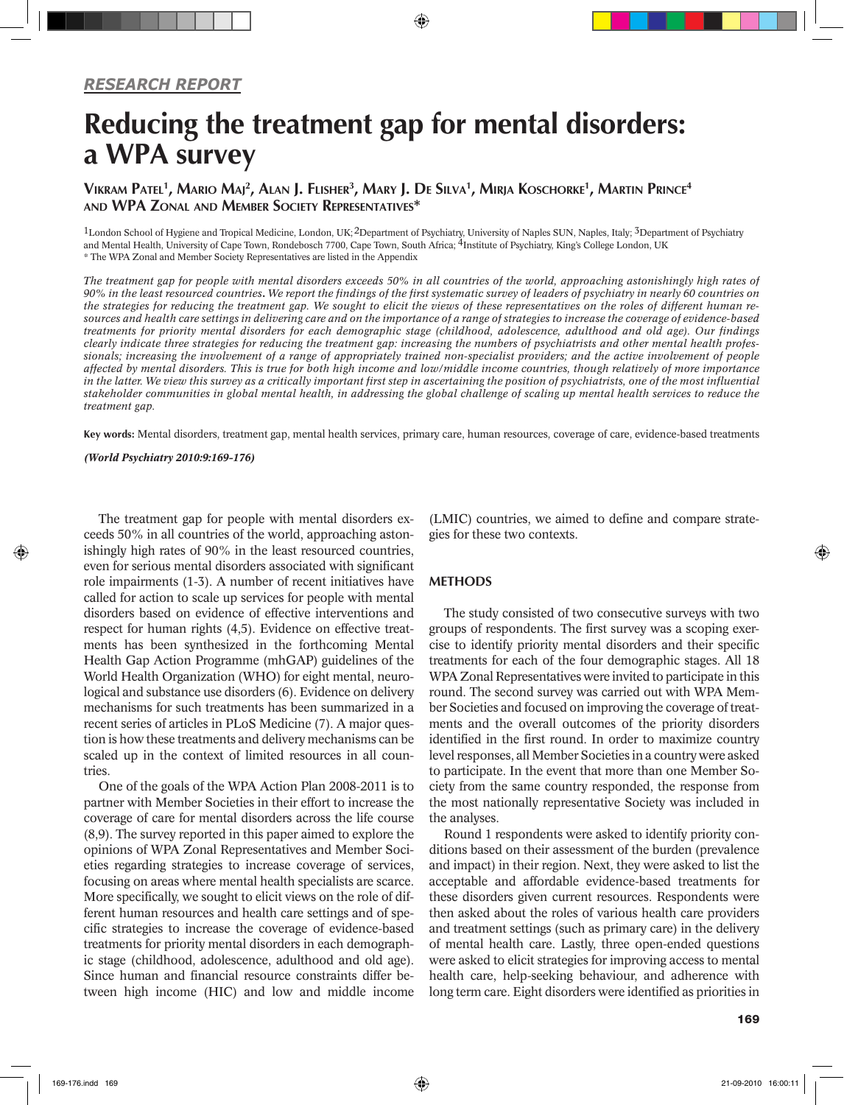# Reducing the treatment gap for mental disorders: a WPA survey

## Vikram Patel<sup>1</sup>, Mario Maj<sup>2</sup>, Alan J. Flisher<sup>3</sup>, Mary J. De Silva<sup>1</sup>, Mirja Koschorke<sup>1</sup>, Martin Prince<sup>4</sup> and WPA Zonal and Member Society Representatives\*

<sup>1</sup>London School of Hygiene and Tropical Medicine, London, UK;<sup>2</sup>Department of Psychiatry, University of Naples SUN, Naples, Italy; <sup>3</sup>Department of Psychiatry and Mental Health, University of Cape Town, Rondebosch 7700, Cape Town, South Africa; 4Institute of Psychiatry, King's College London, UK \* The WPA Zonal and Member Society Representatives are listed in the Appendix

*The treatment gap for people with mental disorders exceeds 50% in all countries of the world, approaching astonishingly high rates of 90% in the least resourced countries. We report the findings of the first systematic survey of leaders of psychiatry in nearly 60 countries on the strategies for reducing the treatment gap. We sought to elicit the views of these representatives on the roles of different human resources and health care settings in delivering care and on the importance of a range of strategies to increase the coverage of evidence-based treatments for priority mental disorders for each demographic stage (childhood, adolescence, adulthood and old age). Our findings clearly indicate three strategies for reducing the treatment gap: increasing the numbers of psychiatrists and other mental health professionals; increasing the involvement of a range of appropriately trained non-specialist providers; and the active involvement of people affected by mental disorders. This is true for both high income and low/middle income countries, though relatively of more importance in the latter. We view this survey as a critically important first step in ascertaining the position of psychiatrists, one of the most influential stakeholder communities in global mental health, in addressing the global challenge of scaling up mental health services to reduce the treatment gap.*

Key words: Mental disorders, treatment gap, mental health services, primary care, human resources, coverage of care, evidence-based treatments

*(World Psychiatry 2010:9:169-176)*

The treatment gap for people with mental disorders exceeds 50% in all countries of the world, approaching astonishingly high rates of 90% in the least resourced countries, even for serious mental disorders associated with significant role impairments (1-3). A number of recent initiatives have called for action to scale up services for people with mental disorders based on evidence of effective interventions and respect for human rights (4,5). Evidence on effective treatments has been synthesized in the forthcoming Mental Health Gap Action Programme (mhGAP) guidelines of the World Health Organization (WHO) for eight mental, neurological and substance use disorders (6). Evidence on delivery mechanisms for such treatments has been summarized in a recent series of articles in PLoS Medicine (7). A major question is how these treatments and delivery mechanisms can be scaled up in the context of limited resources in all countries.

One of the goals of the WPA Action Plan 2008-2011 is to partner with Member Societies in their effort to increase the coverage of care for mental disorders across the life course (8,9). The survey reported in this paper aimed to explore the opinions of WPA Zonal Representatives and Member Societies regarding strategies to increase coverage of services, focusing on areas where mental health specialists are scarce. More specifically, we sought to elicit views on the role of different human resources and health care settings and of specific strategies to increase the coverage of evidence-based treatments for priority mental disorders in each demographic stage (childhood, adolescence, adulthood and old age). Since human and financial resource constraints differ between high income (HIC) and low and middle income (LMIC) countries, we aimed to define and compare strategies for these two contexts.

#### **METHODS**

The study consisted of two consecutive surveys with two groups of respondents. The first survey was a scoping exercise to identify priority mental disorders and their specific treatments for each of the four demographic stages. All 18 WPA Zonal Representatives were invited to participate in this round. The second survey was carried out with WPA Member Societies and focused on improving the coverage of treatments and the overall outcomes of the priority disorders identified in the first round. In order to maximize country level responses, all Member Societies in a country were asked to participate. In the event that more than one Member Society from the same country responded, the response from the most nationally representative Society was included in the analyses.

Round 1 respondents were asked to identify priority conditions based on their assessment of the burden (prevalence and impact) in their region. Next, they were asked to list the acceptable and affordable evidence-based treatments for these disorders given current resources. Respondents were then asked about the roles of various health care providers and treatment settings (such as primary care) in the delivery of mental health care. Lastly, three open-ended questions were asked to elicit strategies for improving access to mental health care, help-seeking behaviour, and adherence with long term care. Eight disorders were identified as priorities in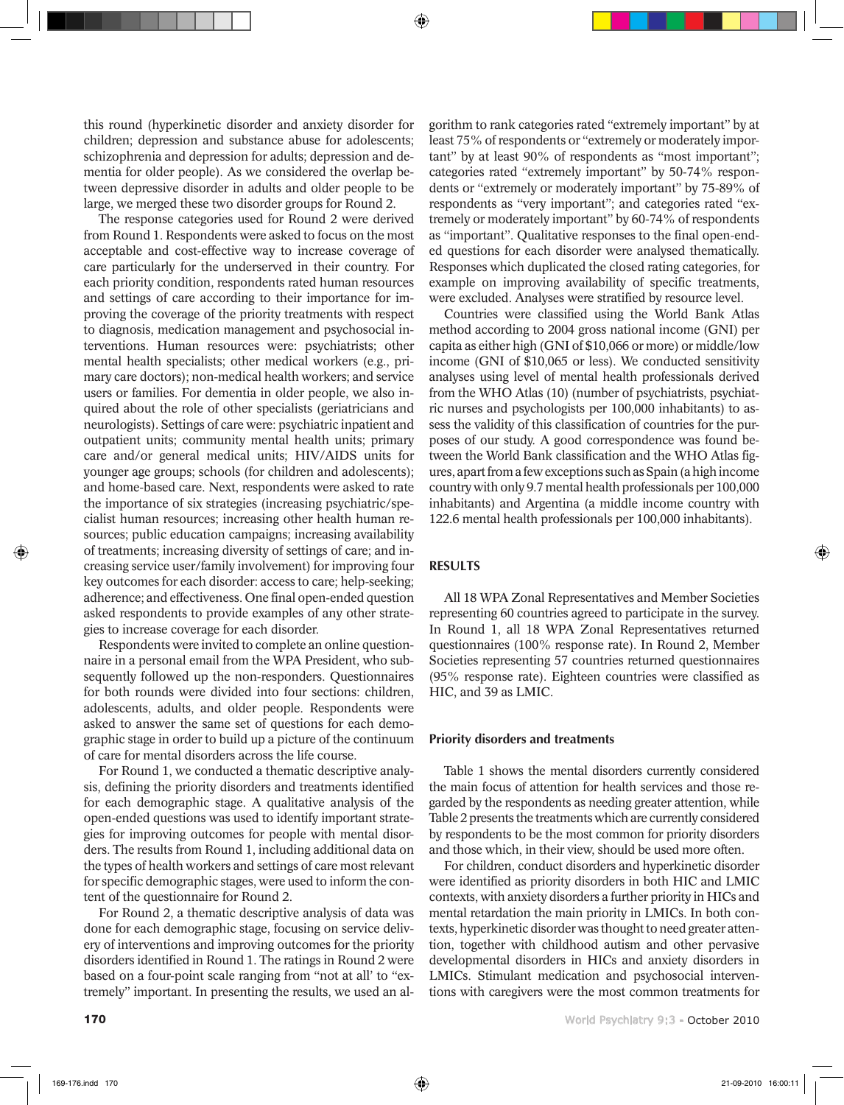this round (hyperkinetic disorder and anxiety disorder for children; depression and substance abuse for adolescents; schizophrenia and depression for adults; depression and dementia for older people). As we considered the overlap between depressive disorder in adults and older people to be large, we merged these two disorder groups for Round 2.

The response categories used for Round 2 were derived from Round 1. Respondents were asked to focus on the most acceptable and cost-effective way to increase coverage of care particularly for the underserved in their country. For each priority condition, respondents rated human resources and settings of care according to their importance for improving the coverage of the priority treatments with respect to diagnosis, medication management and psychosocial interventions. Human resources were: psychiatrists; other mental health specialists; other medical workers (e.g., primary care doctors); non-medical health workers; and service users or families. For dementia in older people, we also inquired about the role of other specialists (geriatricians and neurologists). Settings of care were: psychiatric inpatient and outpatient units; community mental health units; primary care and/or general medical units; HIV/AIDS units for younger age groups; schools (for children and adolescents); and home-based care. Next, respondents were asked to rate the importance of six strategies (increasing psychiatric/specialist human resources; increasing other health human resources; public education campaigns; increasing availability of treatments; increasing diversity of settings of care; and increasing service user/family involvement) for improving four key outcomes for each disorder: access to care; help-seeking; adherence; and effectiveness. One final open-ended question asked respondents to provide examples of any other strategies to increase coverage for each disorder.

Respondents were invited to complete an online questionnaire in a personal email from the WPA President, who subsequently followed up the non-responders. Questionnaires for both rounds were divided into four sections: children, adolescents, adults, and older people. Respondents were asked to answer the same set of questions for each demographic stage in order to build up a picture of the continuum of care for mental disorders across the life course.

For Round 1, we conducted a thematic descriptive analysis, defining the priority disorders and treatments identified for each demographic stage. A qualitative analysis of the open-ended questions was used to identify important strategies for improving outcomes for people with mental disorders. The results from Round 1, including additional data on the types of health workers and settings of care most relevant for specific demographic stages, were used to inform the content of the questionnaire for Round 2.

For Round 2, a thematic descriptive analysis of data was done for each demographic stage, focusing on service delivery of interventions and improving outcomes for the priority disorders identified in Round 1. The ratings in Round 2 were based on a four-point scale ranging from "not at all' to "extremely" important. In presenting the results, we used an algorithm to rank categories rated "extremely important" by at least 75% of respondents or "extremely or moderately important" by at least 90% of respondents as "most important"; categories rated "extremely important" by 50-74% respondents or "extremely or moderately important" by 75-89% of respondents as "very important"; and categories rated "extremely or moderately important" by 60-74% of respondents as "important". Qualitative responses to the final open-ended questions for each disorder were analysed thematically. Responses which duplicated the closed rating categories, for example on improving availability of specific treatments, were excluded. Analyses were stratified by resource level.

Countries were classified using the World Bank Atlas method according to 2004 gross national income (GNI) per capita as either high (GNI of \$10,066 or more) or middle/low income (GNI of \$10,065 or less). We conducted sensitivity analyses using level of mental health professionals derived from the WHO Atlas (10) (number of psychiatrists, psychiatric nurses and psychologists per 100,000 inhabitants) to assess the validity of this classification of countries for the purposes of our study. A good correspondence was found between the World Bank classification and the WHO Atlas figures, apart from a few exceptions such as Spain (a high income country with only 9.7 mental health professionals per 100,000 inhabitants) and Argentina (a middle income country with 122.6 mental health professionals per 100,000 inhabitants).

## RESULTS

All 18 WPA Zonal Representatives and Member Societies representing 60 countries agreed to participate in the survey. In Round 1, all 18 WPA Zonal Representatives returned questionnaires (100% response rate). In Round 2, Member Societies representing 57 countries returned questionnaires (95% response rate). Eighteen countries were classified as HIC, and 39 as LMIC.

#### Priority disorders and treatments

Table 1 shows the mental disorders currently considered the main focus of attention for health services and those regarded by the respondents as needing greater attention, while Table 2 presents the treatments which are currently considered by respondents to be the most common for priority disorders and those which, in their view, should be used more often.

For children, conduct disorders and hyperkinetic disorder were identified as priority disorders in both HIC and LMIC contexts, with anxiety disorders a further priority in HICs and mental retardation the main priority in LMICs. In both contexts, hyperkinetic disorder was thought to need greater attention, together with childhood autism and other pervasive developmental disorders in HICs and anxiety disorders in LMICs. Stimulant medication and psychosocial interventions with caregivers were the most common treatments for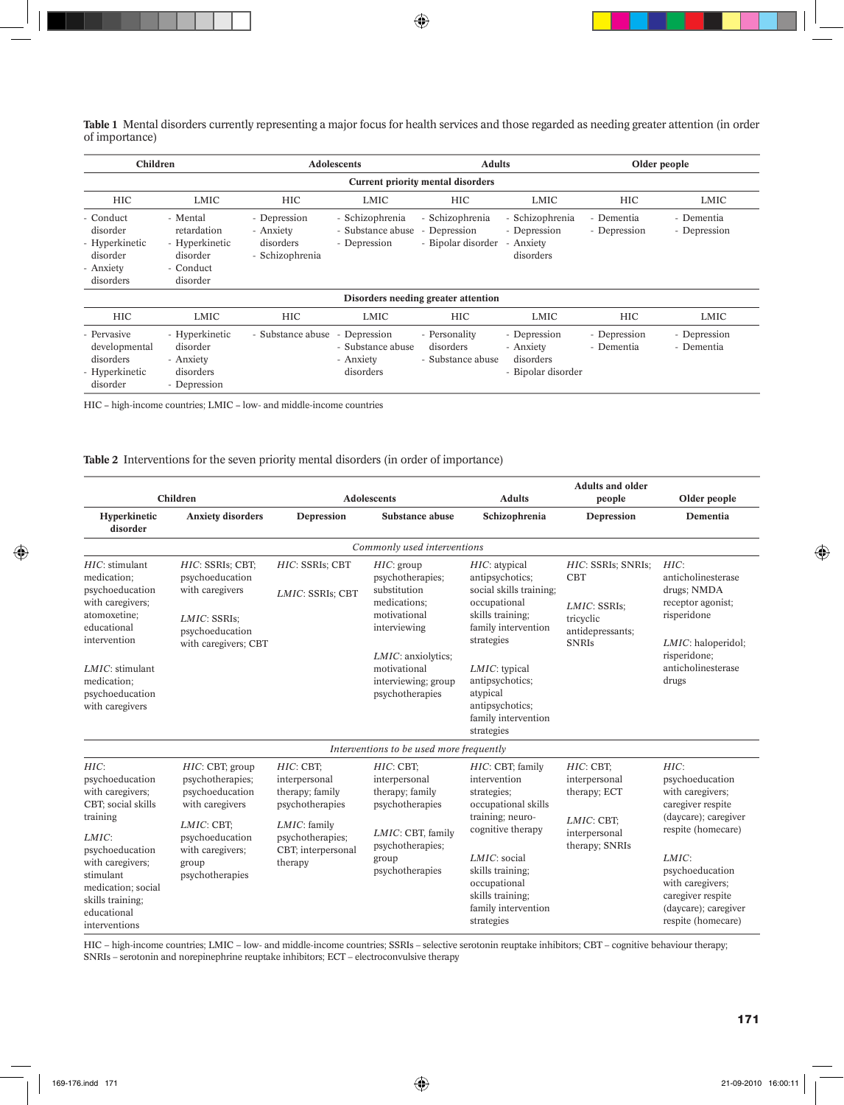**Table 1** Mental disorders currently representing a major focus for health services and those regarded as needing greater attention (in order of importance)

| Children                                                                      |                                                                                                                                                                                                     |                   | Adolescents                                                 | <b>Adults</b>                                             |                                                              | Older people               |                            |  |  |  |  |  |  |  |
|-------------------------------------------------------------------------------|-----------------------------------------------------------------------------------------------------------------------------------------------------------------------------------------------------|-------------------|-------------------------------------------------------------|-----------------------------------------------------------|--------------------------------------------------------------|----------------------------|----------------------------|--|--|--|--|--|--|--|
|                                                                               | <b>Current priority mental disorders</b>                                                                                                                                                            |                   |                                                             |                                                           |                                                              |                            |                            |  |  |  |  |  |  |  |
| <b>HIC</b>                                                                    | LMIC                                                                                                                                                                                                | <b>HIC</b>        | LMIC                                                        | <b>HIC</b>                                                | LMIC                                                         | <b>HIC</b>                 | LMIC                       |  |  |  |  |  |  |  |
| - Conduct<br>disorder<br>- Hyperkinetic<br>disorder<br>- Anxiety<br>disorders | - Schizophrenia<br>- Mental<br>- Depression<br>retardation<br>- Substance abuse<br>- Anxiety<br>- Hyperkinetic<br>disorders<br>- Depression<br>- Schizophrenia<br>disorder<br>- Conduct<br>disorder |                   | - Schizophrenia<br>Depression<br>- Bipolar disorder         | - Schizophrenia<br>- Depression<br>- Anxiety<br>disorders | - Dementia<br>- Dementia<br>- Depression<br>- Depression     |                            |                            |  |  |  |  |  |  |  |
|                                                                               |                                                                                                                                                                                                     |                   |                                                             | Disorders needing greater attention                       |                                                              |                            |                            |  |  |  |  |  |  |  |
| <b>HIC</b>                                                                    | LMIC                                                                                                                                                                                                | <b>HIC</b>        | LMIC                                                        | <b>HIC</b>                                                | LMIC                                                         | <b>HIC</b>                 | LMIC                       |  |  |  |  |  |  |  |
| - Pervasive<br>developmental<br>disorders<br>- Hyperkinetic<br>disorder       | - Hyperkinetic<br>disorder<br>- Anxiety<br>disorders<br>- Depression                                                                                                                                | - Substance abuse | - Depression<br>- Substance abuse<br>- Anxiety<br>disorders | - Personality<br>disorders<br>- Substance abuse           | - Depression<br>- Anxiety<br>disorders<br>- Bipolar disorder | - Depression<br>- Dementia | - Depression<br>- Dementia |  |  |  |  |  |  |  |

HIC − high-income countries; LMIC − low- and middle-income countries

#### **Table 2** Interventions for the seven priority mental disorders (in order of importance)

|                                                                                                                                                                                                                      | Children                                                                                                                                                   |                                                                                                                                         | <b>Adolescents</b>                                                                                                                                                                     | <b>Adults</b>                                                                                                                                                                                                                                  | <b>Adults and older</b><br>people                                                                 | Older people                                                                                                                                                                                                                      |
|----------------------------------------------------------------------------------------------------------------------------------------------------------------------------------------------------------------------|------------------------------------------------------------------------------------------------------------------------------------------------------------|-----------------------------------------------------------------------------------------------------------------------------------------|----------------------------------------------------------------------------------------------------------------------------------------------------------------------------------------|------------------------------------------------------------------------------------------------------------------------------------------------------------------------------------------------------------------------------------------------|---------------------------------------------------------------------------------------------------|-----------------------------------------------------------------------------------------------------------------------------------------------------------------------------------------------------------------------------------|
| Hyperkinetic<br>disorder                                                                                                                                                                                             | <b>Anxiety disorders</b>                                                                                                                                   | Depression                                                                                                                              | Substance abuse                                                                                                                                                                        | Schizophrenia                                                                                                                                                                                                                                  | Depression                                                                                        | Dementia                                                                                                                                                                                                                          |
|                                                                                                                                                                                                                      |                                                                                                                                                            |                                                                                                                                         | Commonly used interventions                                                                                                                                                            |                                                                                                                                                                                                                                                |                                                                                                   |                                                                                                                                                                                                                                   |
| $HIC$ : stimulant<br>medication:<br>psychoeducation<br>with caregivers;<br>atomoxetine;<br>educational<br>intervention<br>$LMIC:$ stimulant<br>medication;<br>psychoeducation<br>with caregivers                     | HIC: SSRIs; CBT;<br>psychoeducation<br>with caregivers<br>LMIC: SSRIs;<br>psychoeducation<br>with caregivers; CBT                                          | HIC: SSRIs; CBT<br>LMIC: SSRIs; CBT                                                                                                     | HIC: group<br>psychotherapies;<br>substitution<br>medications;<br>motivational<br>interviewing<br><i>LMIC</i> : anxiolytics;<br>motivational<br>interviewing; group<br>psychotherapies | $HIC:$ atypical<br>antipsychotics;<br>social skills training;<br>occupational<br>skills training;<br>family intervention<br>strategies<br>LMIC: typical<br>antipsychotics;<br>atypical<br>antipsychotics;<br>family intervention<br>strategies | HIC: SSRIs; SNRIs;<br><b>CBT</b><br>LMIC: SSRIs:<br>tricyclic<br>antidepressants:<br><b>SNRIS</b> | HIC:<br>anticholinesterase<br>drugs; NMDA<br>receptor agonist;<br>risperidone<br>LMIC: haloperidol;<br>risperidone;<br>anticholinesterase<br>drugs                                                                                |
|                                                                                                                                                                                                                      |                                                                                                                                                            |                                                                                                                                         | Interventions to be used more frequently                                                                                                                                               |                                                                                                                                                                                                                                                |                                                                                                   |                                                                                                                                                                                                                                   |
| HIC:<br>psychoeducation<br>with caregivers;<br>CBT; social skills<br>training<br>LMIC:<br>psychoeducation<br>with caregivers;<br>stimulant<br>medication; social<br>skills training;<br>educational<br>interventions | HIC: CBT; group<br>psychotherapies;<br>psychoeducation<br>with caregivers<br>LMIC: CBT:<br>psychoeducation<br>with caregivers;<br>group<br>psychotherapies | $HIC:$ CBT:<br>interpersonal<br>therapy; family<br>psychotherapies<br>LMIC: family<br>psychotherapies;<br>CBT; interpersonal<br>therapy | HIC: CBT;<br>interpersonal<br>therapy; family<br>psychotherapies<br>LMIC: CBT, family<br>psychotherapies;<br>group<br>psychotherapies                                                  | HIC: CBT; family<br>intervention<br>strategies;<br>occupational skills<br>training; neuro-<br>cognitive therapy<br>LMIC: social<br>skills training;<br>occupational<br>skills training:<br>family intervention<br>strategies                   | $HIC:$ CBT:<br>interpersonal<br>therapy; ECT<br>LMIC: CBT;<br>interpersonal<br>therapy; SNRIs     | HIC:<br>psychoeducation<br>with caregivers;<br>caregiver respite<br>(daycare); caregiver<br>respite (homecare)<br>LMIC:<br>psychoeducation<br>with caregivers;<br>caregiver respite<br>(daycare); caregiver<br>respite (homecare) |

HIC − high-income countries; LMIC − low- and middle-income countries; SSRIs – selective serotonin reuptake inhibitors; CBT – cognitive behaviour therapy; SNRIs – serotonin and norepinephrine reuptake inhibitors; ECT – electroconvulsive therapy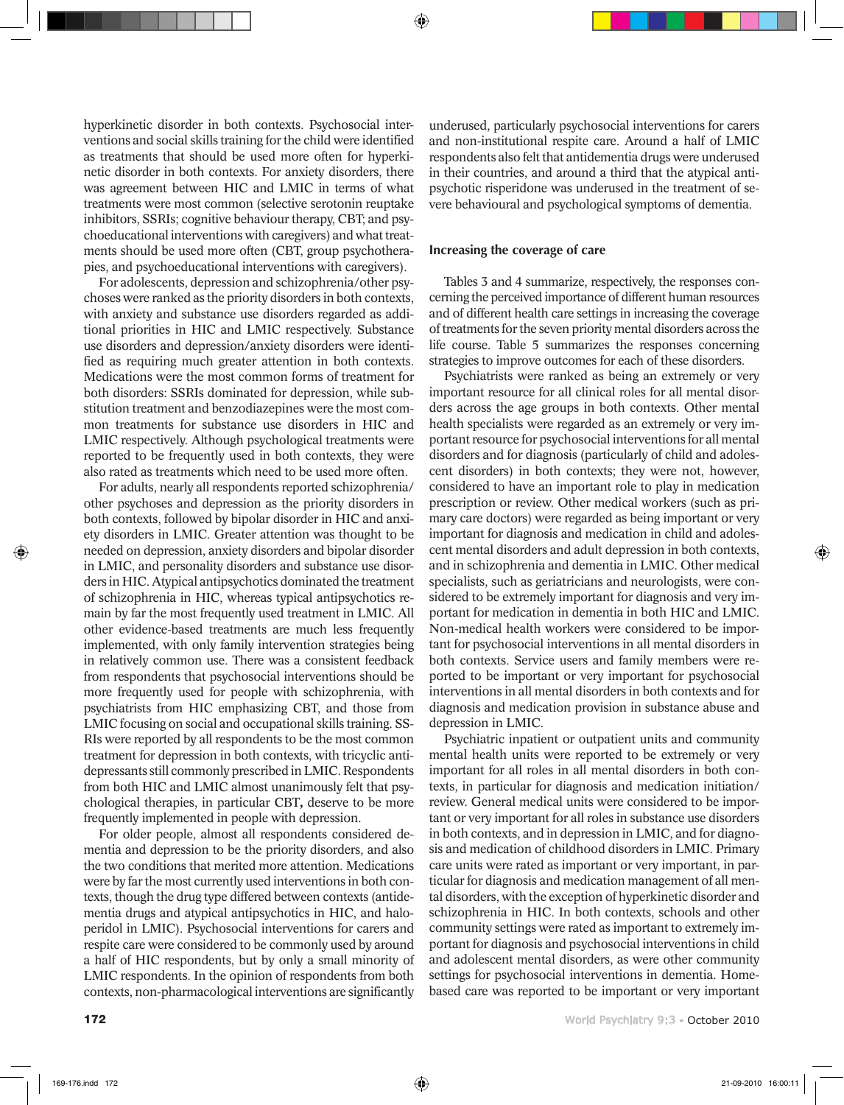hyperkinetic disorder in both contexts. Psychosocial interventions and social skills training for the child were identified as treatments that should be used more often for hyperkinetic disorder in both contexts. For anxiety disorders, there was agreement between HIC and LMIC in terms of what treatments were most common (selective serotonin reuptake inhibitors, SSRIs; cognitive behaviour therapy, CBT; and psychoeducational interventions with caregivers) and what treatments should be used more often (CBT, group psychotherapies, and psychoeducational interventions with caregivers).

For adolescents, depression and schizophrenia/other psychoses were ranked as the priority disorders in both contexts, with anxiety and substance use disorders regarded as additional priorities in HIC and LMIC respectively. Substance use disorders and depression/anxiety disorders were identified as requiring much greater attention in both contexts. Medications were the most common forms of treatment for both disorders: SSRIs dominated for depression, while substitution treatment and benzodiazepines were the most common treatments for substance use disorders in HIC and LMIC respectively. Although psychological treatments were reported to be frequently used in both contexts, they were also rated as treatments which need to be used more often.

For adults, nearly all respondents reported schizophrenia/ other psychoses and depression as the priority disorders in both contexts, followed by bipolar disorder in HIC and anxiety disorders in LMIC. Greater attention was thought to be needed on depression, anxiety disorders and bipolar disorder in LMIC, and personality disorders and substance use disorders in HIC. Atypical antipsychotics dominated the treatment of schizophrenia in HIC, whereas typical antipsychotics remain by far the most frequently used treatment in LMIC. All other evidence-based treatments are much less frequently implemented, with only family intervention strategies being in relatively common use. There was a consistent feedback from respondents that psychosocial interventions should be more frequently used for people with schizophrenia, with psychiatrists from HIC emphasizing CBT, and those from LMIC focusing on social and occupational skills training. SS-RIs were reported by all respondents to be the most common treatment for depression in both contexts, with tricyclic antidepressants still commonly prescribed in LMIC. Respondents from both HIC and LMIC almost unanimously felt that psychological therapies, in particular CBT*,* deserve to be more frequently implemented in people with depression.

For older people, almost all respondents considered dementia and depression to be the priority disorders, and also the two conditions that merited more attention. Medications were by far the most currently used interventions in both contexts, though the drug type differed between contexts (antidementia drugs and atypical antipsychotics in HIC, and haloperidol in LMIC). Psychosocial interventions for carers and respite care were considered to be commonly used by around a half of HIC respondents, but by only a small minority of LMIC respondents. In the opinion of respondents from both contexts, non-pharmacological interventions are significantly

underused, particularly psychosocial interventions for carers and non-institutional respite care. Around a half of LMIC respondents also felt that antidementia drugs were underused in their countries, and around a third that the atypical antipsychotic risperidone was underused in the treatment of severe behavioural and psychological symptoms of dementia.

## Increasing the coverage of care

Tables 3 and 4 summarize, respectively, the responses concerning the perceived importance of different human resources and of different health care settings in increasing the coverage of treatments for the seven priority mental disorders across the life course. Table 5 summarizes the responses concerning strategies to improve outcomes for each of these disorders.

Psychiatrists were ranked as being an extremely or very important resource for all clinical roles for all mental disorders across the age groups in both contexts. Other mental health specialists were regarded as an extremely or very important resource for psychosocial interventions for all mental disorders and for diagnosis (particularly of child and adolescent disorders) in both contexts; they were not, however, considered to have an important role to play in medication prescription or review. Other medical workers (such as primary care doctors) were regarded as being important or very important for diagnosis and medication in child and adolescent mental disorders and adult depression in both contexts, and in schizophrenia and dementia in LMIC. Other medical specialists, such as geriatricians and neurologists, were considered to be extremely important for diagnosis and very important for medication in dementia in both HIC and LMIC. Non-medical health workers were considered to be important for psychosocial interventions in all mental disorders in both contexts. Service users and family members were reported to be important or very important for psychosocial interventions in all mental disorders in both contexts and for diagnosis and medication provision in substance abuse and depression in LMIC.

Psychiatric inpatient or outpatient units and community mental health units were reported to be extremely or very important for all roles in all mental disorders in both contexts, in particular for diagnosis and medication initiation/ review. General medical units were considered to be important or very important for all roles in substance use disorders in both contexts, and in depression in LMIC, and for diagnosis and medication of childhood disorders in LMIC. Primary care units were rated as important or very important, in particular for diagnosis and medication management of all mental disorders, with the exception of hyperkinetic disorder and schizophrenia in HIC. In both contexts, schools and other community settings were rated as important to extremely important for diagnosis and psychosocial interventions in child and adolescent mental disorders, as were other community settings for psychosocial interventions in dementia. Homebased care was reported to be important or very important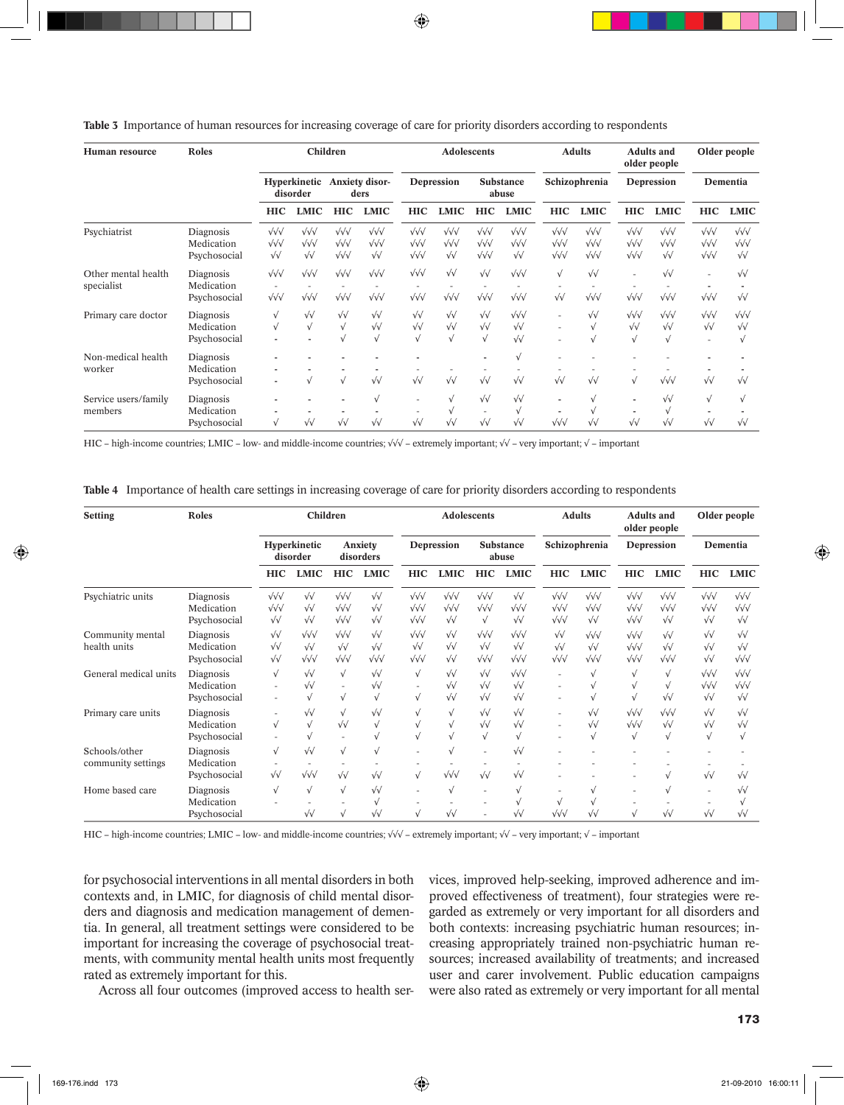|  | Table 3 Importance of human resources for increasing coverage of care for priority disorders according to respondents |  |  |  |  |
|--|-----------------------------------------------------------------------------------------------------------------------|--|--|--|--|
|  |                                                                                                                       |  |  |  |  |

| Human resource                    | <b>Roles</b>                            | Children                                                  |                                                   |                                                          |                                                           | <b>Adolescents</b>                                              |                                                           |                                                             |                                                            | <b>Adults</b>                                                          |                                                          | <b>Adults and</b><br>older people                        |                                                           | Older people                                             |                                                   |
|-----------------------------------|-----------------------------------------|-----------------------------------------------------------|---------------------------------------------------|----------------------------------------------------------|-----------------------------------------------------------|-----------------------------------------------------------------|-----------------------------------------------------------|-------------------------------------------------------------|------------------------------------------------------------|------------------------------------------------------------------------|----------------------------------------------------------|----------------------------------------------------------|-----------------------------------------------------------|----------------------------------------------------------|---------------------------------------------------|
|                                   |                                         | Hyperkinetic<br>disorder                                  |                                                   | <b>Anxiety disor-</b><br>ders                            |                                                           | Depression                                                      |                                                           | <b>Substance</b><br>abuse                                   |                                                            | Schizophrenia                                                          |                                                          | Depression                                               |                                                           | Dementia                                                 |                                                   |
|                                   |                                         | <b>HIC</b>                                                | <b>LMIC</b>                                       | <b>HIC</b>                                               | <b>LMIC</b>                                               | <b>HIC</b>                                                      | <b>LMIC</b>                                               | <b>HIC</b>                                                  | <b>LMIC</b>                                                | <b>HIC</b>                                                             | <b>LMIC</b>                                              | <b>HIC</b>                                               | <b>LMIC</b>                                               | <b>HIC</b>                                               | <b>LMIC</b>                                       |
| Psychiatrist                      | Diagnosis<br>Medication<br>Psychosocial | $\sqrt{\sqrt{}}$<br>$\sqrt{\sqrt{}}$<br>$\sqrt{\sqrt{2}}$ | $\sqrt{\sqrt{}}$<br>$\sqrt{\sqrt{}}$<br>$\sqrt{}$ | $\sqrt{\sqrt{}}$<br>$\sqrt{\sqrt{}}$<br>$\sqrt{\sqrt{}}$ | $\sqrt{\sqrt{}}$<br>$\sqrt{\sqrt{}}$<br>$\sqrt{\sqrt{2}}$ | $\sqrt{\sqrt{}}$<br>$\sqrt{\sqrt{}}$<br>$\sqrt{\sqrt{}}$        | $\sqrt{\sqrt{}}$<br>$\sqrt{\sqrt{}}$<br>$\sqrt{\sqrt{2}}$ | $\sqrt{\sqrt{}}$<br>$\sqrt{\sqrt{}}$<br>$\sqrt{\sqrt{}}$    | $\sqrt{\sqrt{}}$<br>$\sqrt{\sqrt{}}$<br>$\sqrt{\sqrt{2}}$  | $\sqrt{\sqrt{}}$<br>$\sqrt{\sqrt{}}$<br>$\sqrt{\sqrt{}}$               | $\sqrt{\sqrt{}}$<br>$\sqrt{\sqrt{}}$<br>$\sqrt{\sqrt{}}$ | $\sqrt{\sqrt{}}$<br>$\sqrt{\sqrt{}}$<br>$\sqrt{\sqrt{}}$ | $\sqrt{\sqrt{}}$<br>$\sqrt{\sqrt{}}$<br>$\sqrt{\sqrt{2}}$ | $\sqrt{\sqrt{}}$<br>$\sqrt{\sqrt{}}$<br>$\sqrt{\sqrt{}}$ | $\sqrt{\sqrt{}}$<br>$\sqrt{\sqrt{}}$<br>$\sqrt{}$ |
| Other mental health<br>specialist | Diagnosis<br>Medication<br>Psychosocial | $\sqrt{\sqrt{}}$<br>$\sqrt{\sqrt{}}$                      | $\sqrt{\sqrt{}}$<br>$\sqrt{\sqrt{}}$              | $\sqrt{\sqrt{}}$<br>$\sqrt{\sqrt{}}$                     | $\sqrt{\sqrt{}}$<br>$\sqrt{\sqrt{}}$                      | $\sqrt{\sqrt{}}$<br>$\sqrt{\sqrt{}}$                            | $\sqrt{\sqrt{2}}$<br>$\sqrt{\sqrt{}}$                     | $\sqrt{\sqrt{2}}$<br>$\sqrt{\sqrt{}}$                       | $\sqrt{\sqrt{}}$<br>$\sqrt{\sqrt{}}$                       | $\sqrt{ }$<br>$\sqrt{\sqrt{2}}$                                        | $\sqrt{\sqrt{2}}$<br>$\sqrt{\sqrt{}}$                    | $\sqrt{\sqrt{}}$                                         | $\sqrt{\sqrt{2}}$<br>$\sqrt{\sqrt{}}$                     | $\sqrt{\sqrt{}}$                                         | $\sqrt{}$<br>$\sqrt{\sqrt{2}}$                    |
| Primary care doctor               | Diagnosis<br>Medication<br>Psychosocial | $\sqrt{}$<br>$\sqrt{}$                                    | $\sqrt{}$<br>$\sqrt{ }$                           | $\sqrt{}$<br>$\sqrt{ }$<br>$\sqrt{ }$                    | $\sqrt{\sqrt{2}}$<br>$\sqrt{\sqrt{2}}$<br>$\sqrt{ }$      | $\sqrt{\sqrt{2}}$<br>$\sqrt{\sqrt{2}}$<br>$\sqrt{ }$            | $\sqrt{\sqrt{2}}$<br>$\sqrt{\sqrt{2}}$<br>$\sqrt{ }$      | $\sqrt{\sqrt{2}}$<br>$\sqrt{\sqrt{2}}$<br>$\sqrt{ }$        | $\sqrt{\sqrt{}}$<br>$\sqrt{\sqrt{2}}$<br>$\sqrt{\sqrt{2}}$ | $\overline{\phantom{a}}$<br>$\overline{\phantom{a}}$<br>$\overline{a}$ | $\sqrt{}$<br>$\sqrt{ }$<br>$\sqrt{ }$                    | $\sqrt{\sqrt{}}$<br>$\sqrt{\sqrt{2}}$                    | $\sqrt{\sqrt{}}$<br>$\sqrt{\sqrt{2}}$<br>$\sqrt{ }$       | $\sqrt{\sqrt{}}$<br>$\sqrt{\sqrt{2}}$                    | $\sqrt{\sqrt{}}$<br>$\sqrt{\sqrt{2}}$             |
| Non-medical health<br>worker      | Diagnosis<br>Medication<br>Psychosocial | $\blacksquare$                                            |                                                   | $\sqrt{ }$                                               | $\sqrt{\sqrt{2}}$                                         | $\sqrt{\sqrt{2}}$                                               | $\sqrt{}$                                                 | $\sqrt{\sqrt{2}}$                                           | $\sqrt{}$<br>$\sqrt{\sqrt{2}}$                             | $\sqrt{\sqrt{2}}$                                                      | $\sqrt{v}$                                               | $\sqrt{ }$                                               | $\sqrt{\sqrt{}}$                                          | $\sqrt{\sqrt{2}}$                                        | $\sqrt{\sqrt{2}}$                                 |
| Service users/family<br>members   | Diagnosis<br>Medication<br>Psychosocial | $\sqrt{}$                                                 | $\sqrt{\sqrt{2}}$                                 | $\sqrt{\sqrt{2}}$                                        | $\sqrt{ }$<br>$\sqrt{\sqrt{2}}$                           | $\overline{\phantom{a}}$<br>$\overline{a}$<br>$\sqrt{\sqrt{2}}$ | $\sqrt{ }$<br>$\sqrt{ }$<br>$\sqrt{\sqrt{2}}$             | $\sqrt{\sqrt{2}}$<br>$\overline{\phantom{a}}$<br>$\sqrt{v}$ | $\sqrt{\sqrt{2}}$<br>$\sqrt{ }$<br>$\sqrt{\sqrt{2}}$       | ٠<br>٠<br>$\sqrt{\sqrt{}}$                                             | $\sqrt{ }$<br>$\sqrt{ }$<br>$\sqrt{\sqrt{2}}$            | ٠<br>٠<br>$\sqrt{\sqrt{2}}$                              | $\sqrt{\sqrt{2}}$<br>$\sqrt{ }$<br>$\sqrt{\sqrt{2}}$      | $\sqrt{ }$<br>٠<br>$\sqrt{}$                             | $\sqrt{ }$<br>$\sqrt{\sqrt{2}}$                   |

HIC – high-income countries; LMIC – low- and middle-income countries; √√√ – extremely important; √√ – very important; √ – important

**Table 4** Importance of health care settings in increasing coverage of care for priority disorders according to respondents

| Setting                             | Roles                                   | Children                                                  |                                                           |                                                          | <b>Adolescents</b>                          |                                                           |                                                             |                                                             | <b>Adults</b>                                              |                                                            | <b>Adults and</b><br>older people                         |                                                          | Older people                                               |                                                           |                                                   |
|-------------------------------------|-----------------------------------------|-----------------------------------------------------------|-----------------------------------------------------------|----------------------------------------------------------|---------------------------------------------|-----------------------------------------------------------|-------------------------------------------------------------|-------------------------------------------------------------|------------------------------------------------------------|------------------------------------------------------------|-----------------------------------------------------------|----------------------------------------------------------|------------------------------------------------------------|-----------------------------------------------------------|---------------------------------------------------|
|                                     |                                         | Hyperkinetic<br>disorder                                  |                                                           | Anxiety<br>disorders                                     |                                             | Depression                                                |                                                             | Substance<br>abuse                                          |                                                            | Schizophrenia                                              |                                                           | Depression                                               |                                                            | Dementia                                                  |                                                   |
|                                     |                                         | <b>HIC</b>                                                | <b>LMIC</b>                                               | <b>HIC</b>                                               | <b>LMIC</b>                                 | HIC                                                       | <b>LMIC</b>                                                 | <b>HIC</b>                                                  | <b>LMIC</b>                                                | <b>HIC</b>                                                 | <b>LMIC</b>                                               | <b>HIC</b>                                               | <b>LMIC</b>                                                | <b>HIC</b>                                                | <b>LMIC</b>                                       |
| Psychiatric units                   | Diagnosis<br>Medication<br>Psychosocial | $\sqrt{\sqrt{}}$<br>$\sqrt{\sqrt{}}$<br>$\sqrt{\sqrt{2}}$ | $\sqrt{\sqrt{2}}$<br>$\sqrt{}$<br>$\sqrt{}$               | $\sqrt{\sqrt{}}$<br>$\sqrt{\sqrt{}}$<br>$\sqrt{\sqrt{}}$ | $\sqrt{}$<br>$\sqrt{}$<br>$\sqrt{}$         | $\sqrt{\sqrt{}}$<br>$\sqrt{\sqrt{}}$<br>$\sqrt{\sqrt{}}$  | $\sqrt{\sqrt{}}$<br>$\sqrt{\sqrt{}}$<br>$\sqrt{}$           | $\sqrt{\sqrt{}}$<br>$\sqrt{\sqrt{}}$<br>$\sqrt{ }$          | $\sqrt{\sqrt{2}}$<br>$\sqrt{\sqrt{}}$<br>$\sqrt{\sqrt{2}}$ | $\sqrt{\sqrt{}}$<br>$\sqrt{\sqrt{}}$<br>$\sqrt{\sqrt{}}$   | $\sqrt{\sqrt{}}$<br>$\sqrt{\sqrt{}}$<br>$\sqrt{\sqrt{2}}$ | $\sqrt{\sqrt{}}$<br>$\sqrt{\sqrt{}}$<br>$\sqrt{\sqrt{}}$ | $\sqrt{\sqrt{}}$<br>$\sqrt{\sqrt{}}$<br>$\sqrt{\sqrt{2}}$  | $\sqrt{\sqrt{}}$<br>$\sqrt{\sqrt{}}$<br>$\sqrt{\sqrt{2}}$ | $\sqrt{\sqrt{}}$<br>$\sqrt{\sqrt{}}$<br>$\sqrt{}$ |
| Community mental<br>health units    | Diagnosis<br>Medication<br>Psychosocial | $\sqrt{\sqrt{2}}$<br>$\sqrt{}$<br>$\sqrt{\sqrt{2}}$       | $\sqrt{\sqrt{}}$<br>$\sqrt{\sqrt{2}}$<br>$\sqrt{\sqrt{}}$ | $\sqrt{\sqrt{}}$<br>$\sqrt{}$<br>$\sqrt{\sqrt{}}$        | $\sqrt{}$<br>$\sqrt{}$<br>$\sqrt{\sqrt{}}$  | $\sqrt{\sqrt{}}$<br>$\sqrt{\sqrt{2}}$<br>$\sqrt{\sqrt{}}$ | $\sqrt{}$<br>$\sqrt{\sqrt{2}}$<br>$\sqrt{\sqrt{2}}$         | $\sqrt{\sqrt{}}$<br>$\sqrt{}$<br>$\sqrt{\sqrt{}}$           | $\sqrt{\sqrt{}}$<br>$\sqrt{\sqrt{2}}$<br>$\sqrt{\sqrt{}}$  | $\sqrt{\sqrt{2}}$<br>$\sqrt{\sqrt{2}}$<br>$\sqrt{\sqrt{}}$ | $\sqrt{\sqrt{}}$<br>$\sqrt{\sqrt{2}}$<br>$\sqrt{\sqrt{}}$ | $\sqrt{\sqrt{}}$<br>$\sqrt{\sqrt{}}$<br>$\sqrt{\sqrt{}}$ | $\sqrt{\sqrt{2}}$<br>$\sqrt{\sqrt{2}}$<br>$\sqrt{\sqrt{}}$ | $\sqrt{\sqrt{2}}$<br>$\sqrt{}$<br>$\sqrt{}$               | $\sqrt{}$<br>$\sqrt{}$<br>$\sqrt{\sqrt{}}$        |
| General medical units               | Diagnosis<br>Medication<br>Psychosocial | $\sqrt{}$                                                 | $\sqrt{\sqrt{2}}$<br>$\sqrt{\sqrt{2}}$                    | $\sqrt{ }$<br>$\sim$<br>$\sqrt{ }$                       | $\sqrt{}$<br>$\sqrt{\sqrt{2}}$<br>$\sqrt{}$ | $\sqrt{ }$<br>$\sim$<br>$\sqrt{}$                         | $\sqrt{\sqrt{2}}$<br>$\sqrt{\sqrt{2}}$<br>$\sqrt{\sqrt{2}}$ | $\sqrt{\sqrt{2}}$<br>$\sqrt{\sqrt{2}}$<br>$\sqrt{\sqrt{2}}$ | $\sqrt{\sqrt{}}$<br>$\sqrt{\sqrt{2}}$<br>$\sqrt{\sqrt{2}}$ |                                                            | $\sqrt{ }$                                                | $\sqrt{}$<br>$\sqrt{ }$                                  | $\sqrt{ }$<br>$\sqrt{ }$<br>$\sqrt{\sqrt{2}}$              | $\sqrt{\sqrt{}}$<br>$\sqrt{\sqrt{}}$<br>$\sqrt{\sqrt{2}}$ | $\sqrt{\sqrt{}}$<br>$\sqrt{\sqrt{}}$<br>$\sqrt{}$ |
| Primary care units                  | Diagnosis<br>Medication<br>Psychosocial | $\sqrt{}$                                                 | $\sqrt{v}$<br>$\sqrt{2}$                                  | $\sqrt{}$<br>$\sqrt{v}$                                  | $\sqrt{}$<br>$\sqrt{}$<br>$\sqrt{ }$        | $\sqrt{}$<br>$\sqrt{}$                                    | $\sqrt{ }$<br>$\sqrt{ }$<br>$\sqrt{ }$                      | $\sqrt{\sqrt{2}}$<br>$\sqrt{\sqrt{2}}$<br>$\sqrt{ }$        | $\sqrt{\sqrt{2}}$<br>$\sqrt{}$<br>$\sqrt{ }$               | $\overline{\phantom{a}}$<br>$\overline{\phantom{a}}$       | $\sqrt{}$<br>$\sqrt{\sqrt{2}}$<br>$\sqrt{ }$              | $\sqrt{\sqrt{}}$<br>$\sqrt{\sqrt{}}$<br>$\sqrt{ }$       | $\sqrt{\sqrt{}}$<br>$\sqrt{\sqrt{2}}$<br>$\sqrt{ }$        | $\sqrt{\sqrt{2}}$<br>$\sqrt{\sqrt{2}}$<br>$\sqrt{ }$      | $\sqrt{\sqrt{2}}$<br>$\sqrt{}$                    |
| Schools/other<br>community settings | Diagnosis<br>Medication<br>Psychosocial | $\sqrt{}$<br>$\sqrt{\sqrt{2}}$                            | $\sqrt{v}$<br>$\sqrt{\sqrt{}}$                            | $\sqrt{}$<br>$\sqrt{}$                                   | $\sqrt{}$<br>$\sqrt{}$                      | $\sqrt{}$                                                 | $\sqrt{\sqrt{}}$                                            | $\overline{\phantom{a}}$<br>$\sqrt{v}$                      | $\sqrt{}$<br>$\sqrt{}$                                     |                                                            |                                                           |                                                          | v                                                          | $\sqrt{V}$                                                | $\sqrt{}$                                         |
| Home based care                     | Diagnosis<br>Medication<br>Psychosocial | $\sqrt{}$                                                 | $\sqrt{}$<br>$\sqrt{}$                                    | $\sqrt{ }$<br>$\sqrt{}$                                  | $\sqrt{}$<br>V<br>$\sqrt{}$                 | $\sqrt{}$                                                 | $\sqrt{ }$<br>$\sqrt{}$                                     | $\overline{\phantom{a}}$                                    | V<br>V<br>$\sqrt{\sqrt{2}}$                                | $\sqrt{ }$<br>$\sqrt{\sqrt{}}$                             | $\sqrt{v}$                                                | $\sqrt{}$                                                | v<br>$\sqrt{\sqrt{2}}$                                     | $\sqrt{v}$                                                | $\sqrt{\sqrt{2}}$<br>$\sqrt{}$                    |

HIC – high-income countries; LMIC – low- and middle-income countries; √√√ – extremely important; √√ – very important; √ – important

for psychosocial interventions in all mental disorders in both contexts and, in LMIC, for diagnosis of child mental disorders and diagnosis and medication management of dementia. In general, all treatment settings were considered to be important for increasing the coverage of psychosocial treatments, with community mental health units most frequently rated as extremely important for this.

Across all four outcomes (improved access to health ser-

vices, improved help-seeking, improved adherence and improved effectiveness of treatment), four strategies were regarded as extremely or very important for all disorders and both contexts: increasing psychiatric human resources; increasing appropriately trained non-psychiatric human resources; increased availability of treatments; and increased user and carer involvement. Public education campaigns were also rated as extremely or very important for all mental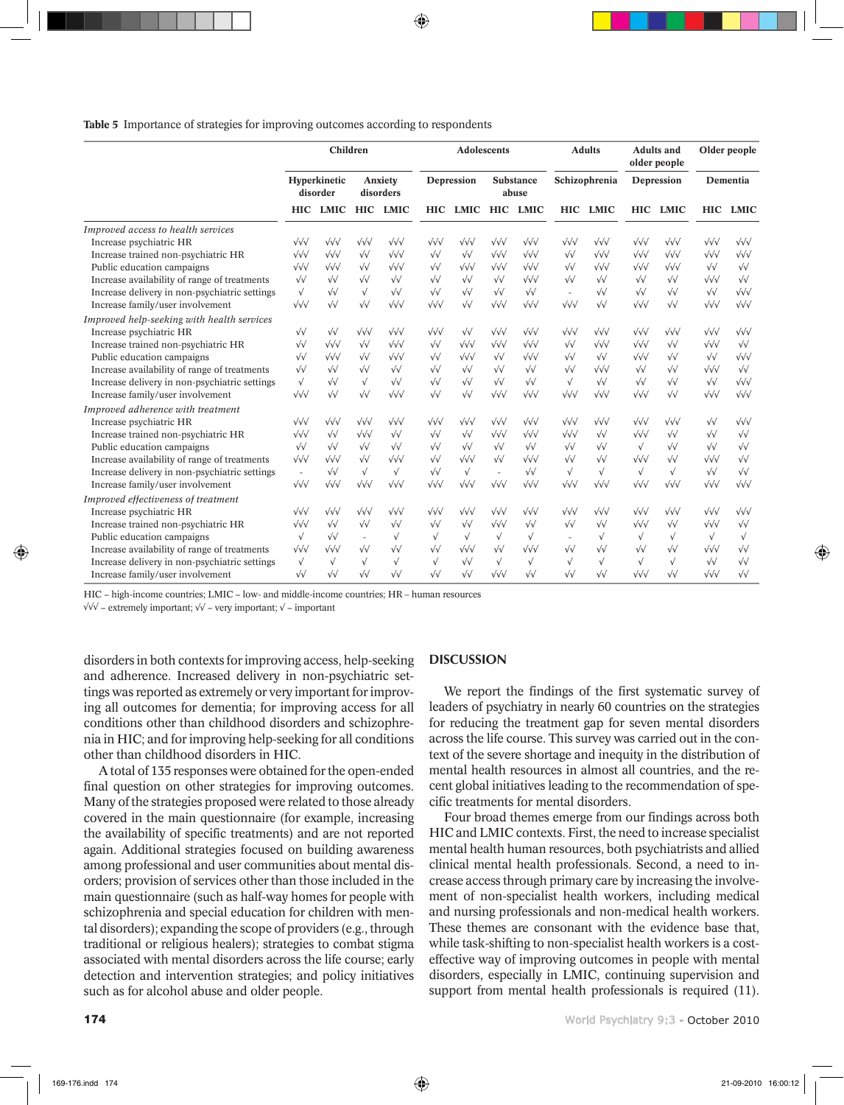**Table 5** Importance of strategies for improving outcomes according to respondents

|                                               | Children                 |                   |                          |                   | <b>Adolescents</b> |                   |                    |                   |                          | <b>Adults</b>     | <b>Adults and</b><br>older people |                   | Older people      |                   |
|-----------------------------------------------|--------------------------|-------------------|--------------------------|-------------------|--------------------|-------------------|--------------------|-------------------|--------------------------|-------------------|-----------------------------------|-------------------|-------------------|-------------------|
|                                               | Hyperkinetic<br>disorder |                   | Anxiety<br>disorders     |                   | Depression         |                   | Substance<br>abuse |                   | Schizophrenia            |                   | Depression                        |                   | Dementia          |                   |
|                                               | <b>HIC</b>               | LMIC              | <b>HIC</b>               | <b>LMIC</b>       | <b>HIC</b>         | LMIC              | <b>HIC</b>         | <b>LMIC</b>       |                          | HIC LMIC          |                                   | HIC LMIC          |                   | HIC LMIC          |
| Improved access to health services            |                          |                   |                          |                   |                    |                   |                    |                   |                          |                   |                                   |                   |                   |                   |
| Increase psychiatric HR                       | $\sqrt{\sqrt{}}$         | $\sqrt{\sqrt{}}$  | $\sqrt{\sqrt{}}$         | $\sqrt{\sqrt{}}$  | $\sqrt{\sqrt{}}$   | $\sqrt{\sqrt{}}$  | $\sqrt{\sqrt{}}$   | $\sqrt{\sqrt{}}$  | $\sqrt{\sqrt{}}$         | $\sqrt{\sqrt{}}$  | $\sqrt{\sqrt{}}$                  | $\sqrt{\sqrt{}}$  | $\sqrt{\sqrt{}}$  | $\sqrt{\sqrt{}}$  |
| Increase trained non-psychiatric HR           | $\sqrt{\sqrt{}}$         | $\sqrt{\sqrt{}}$  | $\sqrt{\sqrt{2}}$        | $\sqrt{\sqrt{}}$  | $\sqrt{\sqrt{2}}$  | $\sqrt{\sqrt{2}}$ | $\sqrt{\sqrt{}}$   | $\sqrt{\sqrt{}}$  | $\sqrt{\sqrt{2}}$        | $\sqrt{\sqrt{}}$  | $\sqrt{\sqrt{}}$                  | $\sqrt{\sqrt{}}$  | $\sqrt{\sqrt{}}$  | $\sqrt{\sqrt{}}$  |
| Public education campaigns                    | $\sqrt{\sqrt{}}$         | $\sqrt{\sqrt{}}$  | $\sqrt{\sqrt{2}}$        | $\sqrt{\sqrt{}}$  | $\sqrt{\sqrt{2}}$  | $\sqrt{\sqrt{}}$  | $\sqrt{\sqrt{}}$   | $\sqrt{\sqrt{}}$  | $\sqrt{\sqrt{2}}$        | $\sqrt{\sqrt{}}$  | $\sqrt{\sqrt{}}$                  | $\sqrt{\sqrt{}}$  | $\sqrt{\sqrt{2}}$ | $\sqrt{\sqrt{2}}$ |
| Increase availability of range of treatments  | $\sqrt{\sqrt{2}}$        | $\sqrt{\sqrt{2}}$ | $\sqrt{\sqrt{2}}$        | $\sqrt{\sqrt{2}}$ | $\sqrt{\sqrt{2}}$  | $\sqrt{\sqrt{2}}$ | $\sqrt{\sqrt{2}}$  | $\sqrt{\sqrt{}}$  | $\sqrt{\sqrt{2}}$        | $\sqrt{\sqrt{2}}$ | $\sqrt{\sqrt{2}}$                 | $\sqrt{\sqrt{2}}$ | $\sqrt{\sqrt{}}$  | $\sqrt{\sqrt{2}}$ |
| Increase delivery in non-psychiatric settings | $\sqrt{ }$               | $\sqrt{\sqrt{2}}$ | $\sqrt{ }$               | $\sqrt{\sqrt{2}}$ | $\sqrt{\sqrt{2}}$  | $\sqrt{\sqrt{2}}$ | $\sqrt{\sqrt{2}}$  | $\sqrt{\sqrt{2}}$ | $\overline{\phantom{a}}$ | $\sqrt{\sqrt{2}}$ | $\sqrt{\sqrt{2}}$                 | $\sqrt{\sqrt{2}}$ | $\sqrt{\sqrt{2}}$ | $\sqrt{\sqrt{}}$  |
| Increase family/user involvement              | $\sqrt{\sqrt{}}$         | $\sqrt{}$         | $\sqrt{\sqrt{2}}$        | $\sqrt{\sqrt{}}$  | $\sqrt{\sqrt{}}$   | $\sqrt{\sqrt{2}}$ | $\sqrt{\sqrt{}}$   | $\sqrt{\sqrt{}}$  | $\sqrt{\sqrt{}}$         | $\sqrt{\sqrt{2}}$ | $\sqrt{\sqrt{}}$                  | $\sqrt{\sqrt{2}}$ | $\sqrt{\sqrt{}}$  | $\sqrt{\sqrt{}}$  |
| Improved help-seeking with health services    |                          |                   |                          |                   |                    |                   |                    |                   |                          |                   |                                   |                   |                   |                   |
| Increase psychiatric HR                       | $\sqrt{\sqrt{2}}$        | $\sqrt{\sqrt{2}}$ | $\sqrt{\sqrt{}}$         | $\sqrt{\sqrt{}}$  | $\sqrt{\sqrt{}}$   | $\sqrt{\sqrt{2}}$ | $\sqrt{\sqrt{}}$   | $\sqrt{\sqrt{}}$  | $\sqrt{\sqrt{}}$         | $\sqrt{\sqrt{}}$  | $\sqrt{\sqrt{}}$                  | $\sqrt{\sqrt{}}$  | $\sqrt{\sqrt{}}$  | $\sqrt{\sqrt{}}$  |
| Increase trained non-psychiatric HR           | $\sqrt{\sqrt{2}}$        | $\sqrt{\sqrt{}}$  | $\sqrt{\sqrt{2}}$        | $\sqrt{\sqrt{}}$  | $\sqrt{\sqrt{2}}$  | $\sqrt{\sqrt{}}$  | $\sqrt{\sqrt{}}$   | $\sqrt{\sqrt{}}$  | $\sqrt{\sqrt{2}}$        | $\sqrt{\sqrt{}}$  | $\sqrt{\sqrt{}}$                  | $\sqrt{\sqrt{2}}$ | $\sqrt{\sqrt{}}$  | $\sqrt{\sqrt{2}}$ |
| Public education campaigns                    | $\sqrt{\sqrt{2}}$        | $\sqrt{\sqrt{}}$  | $\sqrt{\sqrt{2}}$        | $\sqrt{\sqrt{}}$  | $\sqrt{\sqrt{2}}$  | $\sqrt{\sqrt{}}$  | $\sqrt{\sqrt{2}}$  | $\sqrt{\sqrt{}}$  | $\sqrt{\sqrt{2}}$        | $\sqrt{\sqrt{2}}$ | $\sqrt{\sqrt{}}$                  | $\sqrt{\sqrt{2}}$ | $\sqrt{\sqrt{2}}$ | $\sqrt{\sqrt{}}$  |
| Increase availability of range of treatments  | $\sqrt{\sqrt{2}}$        | $\sqrt{\sqrt{2}}$ | $\sqrt{\sqrt{2}}$        | $\sqrt{\sqrt{2}}$ | $\sqrt{\sqrt{2}}$  | $\sqrt{\sqrt{2}}$ | $\sqrt{\sqrt{2}}$  | $\sqrt{\sqrt{2}}$ | $\sqrt{\sqrt{2}}$        | $\sqrt{\sqrt{}}$  | $\sqrt{\sqrt{2}}$                 | $\sqrt{\sqrt{2}}$ | $\sqrt{\sqrt{}}$  | $\sqrt{\sqrt{2}}$ |
| Increase delivery in non-psychiatric settings | $\sqrt{ }$               | $\sqrt{\sqrt{2}}$ | $\sqrt{ }$               | $\sqrt{\sqrt{2}}$ | $\sqrt{\sqrt{2}}$  | $\sqrt{\sqrt{2}}$ | $\sqrt{\sqrt{2}}$  | $\sqrt{\sqrt{2}}$ | $\sqrt{ }$               | $\sqrt{\sqrt{2}}$ | $\sqrt{\sqrt{2}}$                 | $\sqrt{\sqrt{2}}$ | $\sqrt{\sqrt{2}}$ | $\sqrt{\sqrt{}}$  |
| Increase family/user involvement              | $\sqrt{\sqrt{}}$         | $\sqrt{\sqrt{2}}$ | $\sqrt{\sqrt{2}}$        | $\sqrt{\sqrt{}}$  | $\sqrt{\sqrt{2}}$  | $\sqrt{\sqrt{2}}$ | $\sqrt{\sqrt{}}$   | $\sqrt{\sqrt{}}$  | $\sqrt{\sqrt{}}$         | $\sqrt{\sqrt{}}$  | $\sqrt{\sqrt{}}$                  | $\sqrt{\sqrt{2}}$ | $\sqrt{\sqrt{}}$  | $\sqrt{\sqrt{}}$  |
| Improved adherence with treatment             |                          |                   |                          |                   |                    |                   |                    |                   |                          |                   |                                   |                   |                   |                   |
| Increase psychiatric HR                       | $\sqrt{\sqrt{}}$         | $\sqrt{\sqrt{}}$  | $\sqrt{\sqrt{}}$         | $\sqrt{\sqrt{}}$  | $\sqrt{\sqrt{}}$   | $\sqrt{\sqrt{}}$  | $\sqrt{\sqrt{}}$   | $\sqrt{\sqrt{}}$  | $\sqrt{\sqrt{}}$         | $\sqrt{\sqrt{}}$  | $\sqrt{\sqrt{}}$                  | $\sqrt{\sqrt{}}$  | $\sqrt{\sqrt{2}}$ | $\sqrt{\sqrt{}}$  |
| Increase trained non-psychiatric HR           | $\sqrt{\sqrt{}}$         | $\sqrt{\sqrt{2}}$ | $\sqrt{\sqrt{}}$         | $\sqrt{}$         | $\sqrt{\sqrt{2}}$  | $\sqrt{\sqrt{2}}$ | $\sqrt{\sqrt{}}$   | $\sqrt{\sqrt{}}$  | $\sqrt{\sqrt{}}$         | $\sqrt{\sqrt{2}}$ | $\sqrt{\sqrt{}}$                  | $\sqrt{}$         | $\sqrt{\sqrt{2}}$ | $\sqrt{\sqrt{2}}$ |
| Public education campaigns                    | $\sqrt{\sqrt{2}}$        | $\sqrt{\sqrt{2}}$ | $\sqrt{\sqrt{2}}$        | $\sqrt{\sqrt{2}}$ | $\sqrt{\sqrt{2}}$  | $\sqrt{\sqrt{2}}$ | $\sqrt{\sqrt{2}}$  | $\sqrt{\sqrt{2}}$ | $\sqrt{\sqrt{2}}$        | $\sqrt{\sqrt{2}}$ | $\sqrt{ }$                        | $\sqrt{\sqrt{2}}$ | $\sqrt{\sqrt{2}}$ | $\sqrt{\sqrt{2}}$ |
| Increase availability of range of treatments  | $\sqrt{\sqrt{}}$         | $\sqrt{\sqrt{}}$  | $\sqrt{\sqrt{2}}$        | $\sqrt{\sqrt{}}$  | $\sqrt{\sqrt{2}}$  | $\sqrt{\sqrt{}}$  | $\sqrt{\sqrt{2}}$  | $\sqrt{\sqrt{}}$  | $\sqrt{\sqrt{2}}$        | $\sqrt{\sqrt{2}}$ | $\sqrt{\sqrt{}}$                  | $\sqrt{\sqrt{2}}$ | $\sqrt{\sqrt{}}$  | $\sqrt{\sqrt{2}}$ |
| Increase delivery in non-psychiatric settings | $\sim$                   | $\sqrt{\sqrt{2}}$ | $\sqrt{ }$               | $\sqrt{ }$        | $\sqrt{\sqrt{2}}$  | $\sqrt{ }$        | $\sim$             | $\sqrt{\sqrt{2}}$ | $\sqrt{ }$               | $\sqrt{ }$        | $\sqrt{ }$                        | $\sqrt{ }$        | $\sqrt{\sqrt{2}}$ | $\sqrt{\sqrt{2}}$ |
| Increase family/user involvement              | $\sqrt{\sqrt{}}$         | $\sqrt{\sqrt{}}$  | $\sqrt{\sqrt{}}$         | $\sqrt{\sqrt{}}$  | $\sqrt{\sqrt{}}$   | $\sqrt{\sqrt{}}$  | $\sqrt{\sqrt{}}$   | $\sqrt{\sqrt{}}$  | $\sqrt{\sqrt{}}$         | $\sqrt{\sqrt{}}$  | $\sqrt{\sqrt{}}$                  | $\sqrt{\sqrt{}}$  | $\sqrt{\sqrt{}}$  | $\sqrt{\sqrt{}}$  |
| Improved effectiveness of treatment           |                          |                   |                          |                   |                    |                   |                    |                   |                          |                   |                                   |                   |                   |                   |
| Increase psychiatric HR                       | $\sqrt{\sqrt{}}$         | $\sqrt{\sqrt{}}$  | $\sqrt{\sqrt{}}$         | $\sqrt{\sqrt{}}$  | $\sqrt{\sqrt{}}$   | $\sqrt{\sqrt{}}$  | $\sqrt{\sqrt{}}$   | $\sqrt{\sqrt{}}$  | $\sqrt{\sqrt{}}$         | $\sqrt{\sqrt{}}$  | $\sqrt{\sqrt{}}$                  | $\sqrt{\sqrt{}}$  | $\sqrt{\sqrt{}}$  | $\sqrt{\sqrt{}}$  |
| Increase trained non-psychiatric HR           | $\sqrt{\sqrt{}}$         | $\sqrt{\sqrt{2}}$ | $\sqrt{\sqrt{2}}$        | $\sqrt{}$         | $\sqrt{\sqrt{2}}$  | $\sqrt{V}$        | $\sqrt{\sqrt{}}$   | $\sqrt{\sqrt{2}}$ | $\sqrt{\sqrt{2}}$        | $\sqrt{\sqrt{2}}$ | $\sqrt{\sqrt{}}$                  | $\sqrt{}$         | $\sqrt{\sqrt{}}$  | $\sqrt{\sqrt{2}}$ |
| Public education campaigns                    | $\sqrt{ }$               | $\sqrt{\sqrt{2}}$ | $\overline{\phantom{a}}$ | $\sqrt{ }$        | $\sqrt{}$          | $\sqrt{ }$        | $\sqrt{ }$         | $\sqrt{ }$        | $\sim$                   | $\sqrt{ }$        | $\sqrt{ }$                        | $\sqrt{ }$        | $\sqrt{ }$        | $\sqrt{}$         |
| Increase availability of range of treatments  | $\sqrt{\sqrt{}}$         | $\sqrt{\sqrt{}}$  | $\sqrt{\sqrt{2}}$        | $\sqrt{\sqrt{2}}$ | $\sqrt{\sqrt{2}}$  | $\sqrt{\sqrt{}}$  | $\sqrt{\sqrt{2}}$  | $\sqrt{\sqrt{}}$  | $\sqrt{\sqrt{2}}$        | $\sqrt{\sqrt{2}}$ | $\sqrt{\sqrt{2}}$                 | $\sqrt{\sqrt{2}}$ | $\sqrt{\sqrt{}}$  | $\sqrt{\sqrt{2}}$ |
| Increase delivery in non-psychiatric settings | $\sqrt{ }$               | $\sqrt{ }$        | $\sqrt{ }$               | $\sqrt{ }$        | $\sqrt{}$          | $\sqrt{\sqrt{2}}$ | $\sqrt{}$          | $\sqrt{ }$        | $\sqrt{ }$               | $\sqrt{ }$        | $\sqrt{ }$                        | $\sqrt{ }$        | $\sqrt{\sqrt{2}}$ | $\sqrt{\sqrt{2}}$ |
| Increase family/user involvement              | $\sqrt{}$                | $\sqrt{\sqrt{2}}$ | $\sqrt{\sqrt{2}}$        | $\sqrt{\sqrt{2}}$ | $\sqrt{\sqrt{2}}$  | $\sqrt{\sqrt{2}}$ | $\sqrt{\sqrt{}}$   | $\sqrt{\sqrt{2}}$ | $\sqrt{\sqrt{2}}$        | $\sqrt{\sqrt{2}}$ | $\sqrt{\sqrt{}}$                  | $\sqrt{\sqrt{2}}$ | $\sqrt{\sqrt{}}$  | $\sqrt{\sqrt{2}}$ |

HIC − high-income countries; LMIC − low- and middle-income countries; HR – human resources

√√√ − extremely important; √√ − very important; √ − important

disorders in both contexts for improving access, help-seeking and adherence. Increased delivery in non-psychiatric settings was reported as extremely or very important for improving all outcomes for dementia; for improving access for all conditions other than childhood disorders and schizophrenia in HIC; and for improving help-seeking for all conditions other than childhood disorders in HIC.

A total of 135 responses were obtained for the open-ended final question on other strategies for improving outcomes. Many of the strategies proposed were related to those already covered in the main questionnaire (for example, increasing the availability of specific treatments) and are not reported again. Additional strategies focused on building awareness among professional and user communities about mental disorders; provision of services other than those included in the main questionnaire (such as half-way homes for people with schizophrenia and special education for children with mental disorders); expanding the scope of providers (e.g., through traditional or religious healers); strategies to combat stigma associated with mental disorders across the life course; early detection and intervention strategies; and policy initiatives such as for alcohol abuse and older people.

#### **DISCUSSION**

We report the findings of the first systematic survey of leaders of psychiatry in nearly 60 countries on the strategies for reducing the treatment gap for seven mental disorders across the life course. This survey was carried out in the context of the severe shortage and inequity in the distribution of mental health resources in almost all countries, and the recent global initiatives leading to the recommendation of specific treatments for mental disorders.

Four broad themes emerge from our findings across both HIC and LMIC contexts. First, the need to increase specialist mental health human resources, both psychiatrists and allied clinical mental health professionals. Second, a need to increase access through primary care by increasing the involvement of non-specialist health workers, including medical and nursing professionals and non-medical health workers. These themes are consonant with the evidence base that, while task-shifting to non-specialist health workers is a costeffective way of improving outcomes in people with mental disorders, especially in LMIC, continuing supervision and support from mental health professionals is required  $(11)$ .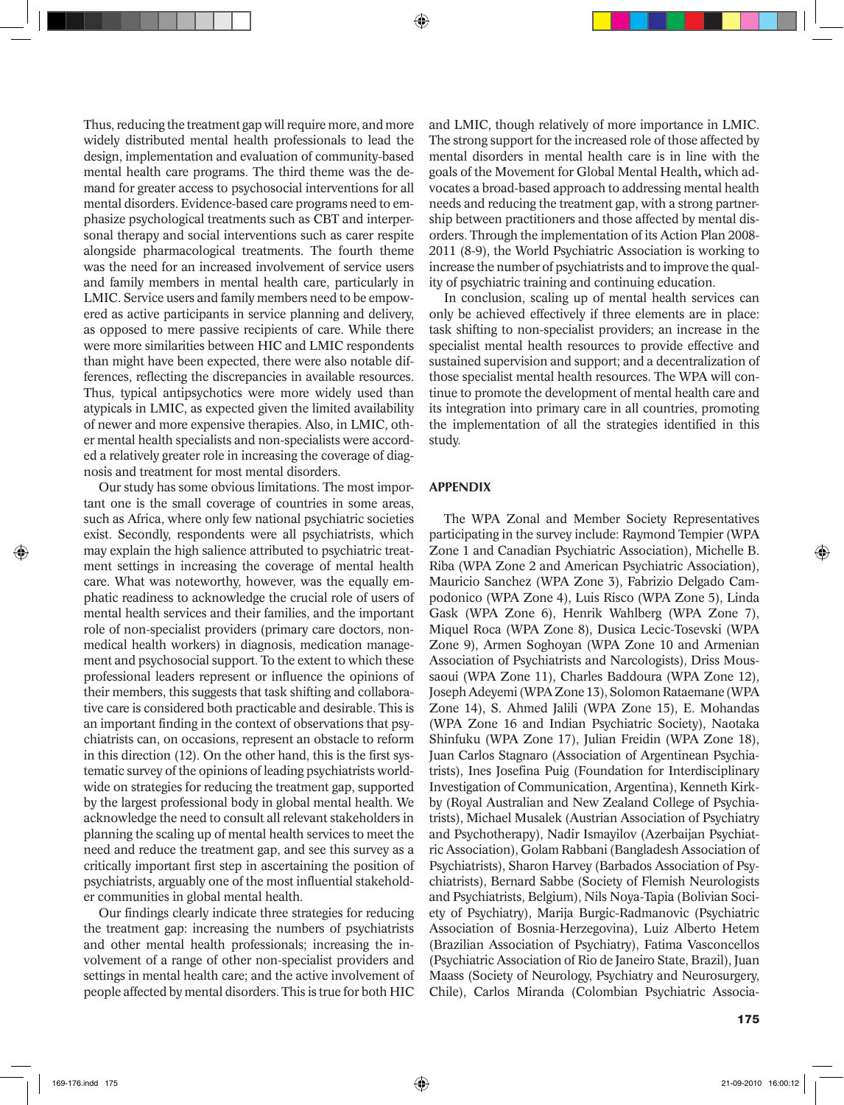Thus, reducing the treatment gap will require more, and more widely distributed mental health professionals to lead the design, implementation and evaluation of community-based mental health care programs. The third theme was the demand for greater access to psychosocial interventions for all mental disorders. Evidence-based care programs need to emphasize psychological treatments such as CBT and interpersonal therapy and social interventions such as carer respite alongside pharmacological treatments. The fourth theme was the need for an increased involvement of service users and family members in mental health care, particularly in LMIC. Service users and family members need to be empowered as active participants in service planning and delivery, as opposed to mere passive recipients of care. While there were more similarities between HIC and LMIC respondents than might have been expected, there were also notable differences, reflecting the discrepancies in available resources. Thus, typical antipsychotics were more widely used than atypicals in LMIC, as expected given the limited availability of newer and more expensive therapies. Also, in LMIC, other mental health specialists and non-specialists were accorded a relatively greater role in increasing the coverage of diagnosis and treatment for most mental disorders.

Our study has some obvious limitations. The most important one is the small coverage of countries in some areas, such as Africa, where only few national psychiatric societies exist. Secondly, respondents were all psychiatrists, which may explain the high salience attributed to psychiatric treatment settings in increasing the coverage of mental health care. What was noteworthy, however, was the equally emphatic readiness to acknowledge the crucial role of users of mental health services and their families, and the important role of non-specialist providers (primary care doctors, nonmedical health workers) in diagnosis, medication management and psychosocial support. To the extent to which these professional leaders represent or influence the opinions of their members, this suggests that task shifting and collaborative care is considered both practicable and desirable. This is an important finding in the context of observations that psychiatrists can, on occasions, represent an obstacle to reform in this direction (12). On the other hand, this is the first systematic survey of the opinions of leading psychiatrists worldwide on strategies for reducing the treatment gap, supported by the largest professional body in global mental health. We acknowledge the need to consult all relevant stakeholders in planning the scaling up of mental health services to meet the need and reduce the treatment gap, and see this survey as a critically important first step in ascertaining the position of psychiatrists, arguably one of the most influential stakeholder communities in global mental health.

Our findings clearly indicate three strategies for reducing the treatment gap: increasing the numbers of psychiatrists and other mental health professionals; increasing the involvement of a range of other non-specialist providers and settings in mental health care; and the active involvement of people affected by mental disorders. This is true for both HIC

and LMIC, though relatively of more importance in LMIC. The strong support for the increased role of those affected by mental disorders in mental health care is in line with the goals of the Movement for Global Mental Health*,* which advocates a broad-based approach to addressing mental health needs and reducing the treatment gap, with a strong partnership between practitioners and those affected by mental disorders. Through the implementation of its Action Plan 2008- 2011 (8-9), the World Psychiatric Association is working to increase the number of psychiatrists and to improve the quality of psychiatric training and continuing education.

In conclusion, scaling up of mental health services can only be achieved effectively if three elements are in place: task shifting to non-specialist providers; an increase in the specialist mental health resources to provide effective and sustained supervision and support; and a decentralization of those specialist mental health resources. The WPA will continue to promote the development of mental health care and its integration into primary care in all countries, promoting the implementation of all the strategies identified in this study.

## APPENDIX

The WPA Zonal and Member Society Representatives participating in the survey include: Raymond Tempier (WPA Zone 1 and Canadian Psychiatric Association), Michelle B. Riba (WPA Zone 2 and American Psychiatric Association), Mauricio Sanchez (WPA Zone 3), Fabrizio Delgado Campodonico (WPA Zone 4), Luis Risco (WPA Zone 5), Linda Gask (WPA Zone 6), Henrik Wahlberg (WPA Zone 7), Miquel Roca (WPA Zone 8), Dusica Lecic-Tosevski (WPA Zone 9), Armen Soghoyan (WPA Zone 10 and Armenian Association of Psychiatrists and Narcologists), Driss Moussaoui (WPA Zone 11), Charles Baddoura (WPA Zone 12), Joseph Adeyemi (WPA Zone 13), Solomon Rataemane (WPA Zone 14), S. Ahmed Jalili (WPA Zone 15), E. Mohandas (WPA Zone 16 and Indian Psychiatric Society), Naotaka Shinfuku (WPA Zone 17), Julian Freidin (WPA Zone 18), Juan Carlos Stagnaro (Association of Argentinean Psychiatrists), Ines Josefina Puig (Foundation for Interdisciplinary Investigation of Communication, Argentina), Kenneth Kirkby (Royal Australian and New Zealand College of Psychiatrists), Michael Musalek (Austrian Association of Psychiatry and Psychotherapy), Nadir Ismayilov (Azerbaijan Psychiatric Association), Golam Rabbani (Bangladesh Association of Psychiatrists), Sharon Harvey (Barbados Association of Psychiatrists), Bernard Sabbe (Society of Flemish Neurologists and Psychiatrists, Belgium), Nils Noya-Tapia (Bolivian Society of Psychiatry), Marija Burgic-Radmanovic (Psychiatric Association of Bosnia-Herzegovina), Luiz Alberto Hetem (Brazilian Association of Psychiatry), Fatima Vasconcellos (Psychiatric Association of Rio de Janeiro State, Brazil), Juan Maass (Society of Neurology, Psychiatry and Neurosurgery, Chile), Carlos Miranda (Colombian Psychiatric Associa